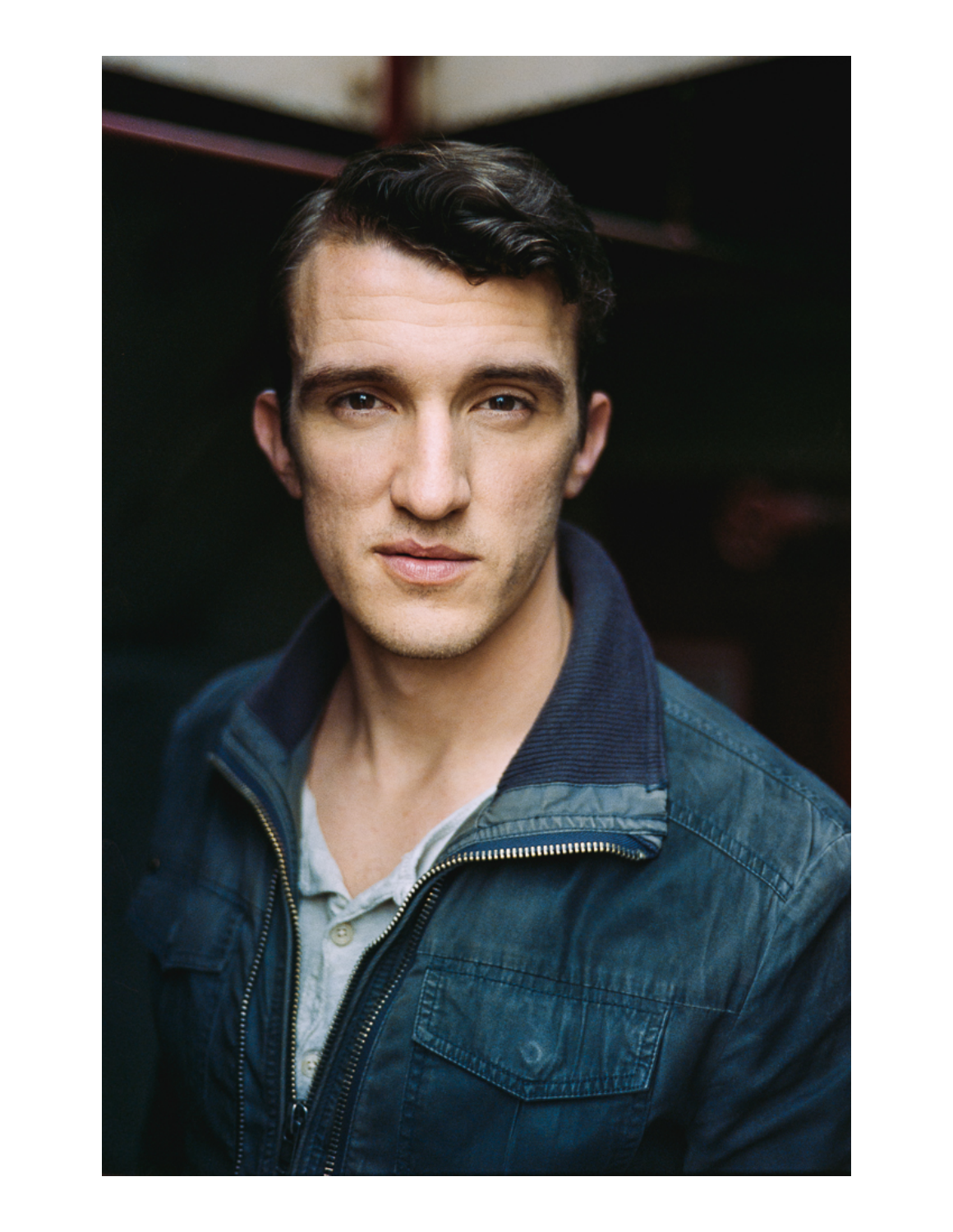